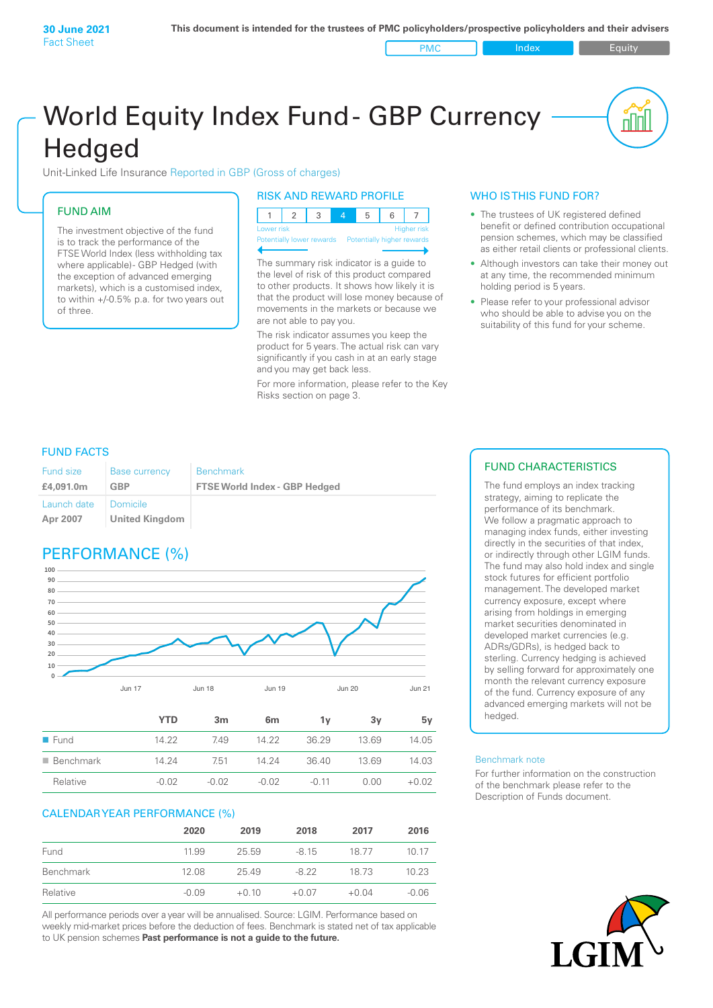PMC Index PMC Equity

nnl

# World Equity Index Fund- GBP Currency **Hedged**

Unit-Linked Life Insurance Reported in GBP (Gross of charges)

## FUND AIM

The investment objective of the fund is to track the performance of the FTSE World Index (less withholding tax where applicable) - GBP Hedged (with the exception of advanced emerging markets), which is a customised index, to within +/‑0.5% p.a. for two years out of three.

## RISK AND REWARD PROFILE

| Lower risk |  |  | <b>Higher risk</b> |
|------------|--|--|--------------------|

ntially lower rewards Potentially higher re

The summary risk indicator is a guide to the level of risk of this product compared to other products. It shows how likely it is that the product will lose money because of movements in the markets or because we are not able to pay you.

The risk indicator assumes you keep the product for 5 years. The actual risk can vary significantly if you cash in at an early stage and you may get back less.

For more information, please refer to the Key Risks section on page 3.

## WHO IS THIS FUND FOR?

- The trustees of UK registered defined benefit or defined contribution occupational pension schemes, which may be classified as either retail clients or professional clients.
- Although investors can take their money out at any time, the recommended minimum holding period is 5 years.
- Please refer to your professional advisor who should be able to advise you on the suitability of this fund for your scheme.

## FUND FACTS

| <b>Fund size</b>        | <b>Base currency</b>       | <b>Benchmark</b>                     |
|-------------------------|----------------------------|--------------------------------------|
| £4,091.0m               | GBP                        | <b>FTSE World Index - GBP Hedged</b> |
| Launch date<br>Apr 2007 | Domicile<br>United Kingdom |                                      |

# PERFORMANCE (%)



|                          | YTD     | 3 <sub>m</sub> | 6 <sub>m</sub> | 1v      | 3۷    | 5v      |
|--------------------------|---------|----------------|----------------|---------|-------|---------|
| $\blacksquare$ Fund      | 14.22   | 749            | 14.22          | 36.29   | 13.69 | 14.05   |
| $\blacksquare$ Benchmark | 14.24   | 7.51           | 14 24          | 36.40   | 1369  | 14.03   |
| Relative                 | $-0.02$ | $-0.02$        | $-0.02$        | $-0.11$ | 0.OO  | $+0.02$ |

### CALENDAR YEAR PERFORMANCE (%)

|           | 2020    | 2019    | 2018    | 2017    | 2016    |
|-----------|---------|---------|---------|---------|---------|
| Fund      | 11.99   | 25.59   | $-815$  | 18.77   | 10 17   |
| Benchmark | 12.08   | 25.49   | -8.22   | 18 73   | 10.23   |
| Relative  | $-0.09$ | $+0.10$ | $+0.07$ | $+0.04$ | $-0.06$ |

All performance periods over a year will be annualised. Source: LGIM. Performance based on weekly mid-market prices before the deduction of fees. Benchmark is stated net of tax applicable to UK pension schemes **Past performance is not a guide to the future.**

## FUND CHARACTERISTICS

The fund employs an index tracking strategy, aiming to replicate the performance of its benchmark. We follow a pragmatic approach to managing index funds, either investing directly in the securities of that index, or indirectly through other LGIM funds. The fund may also hold index and single stock futures for efficient portfolio management. The developed market currency exposure, except where arising from holdings in emerging market securities denominated in developed market currencies (e.g. ADRs/GDRs), is hedged back to sterling. Currency hedging is achieved by selling forward for approximately one month the relevant currency exposure of the fund. Currency exposure of any advanced emerging markets will not be hedged.

#### Benchmark note

For further information on the construction of the benchmark please refer to the Description of Funds document.

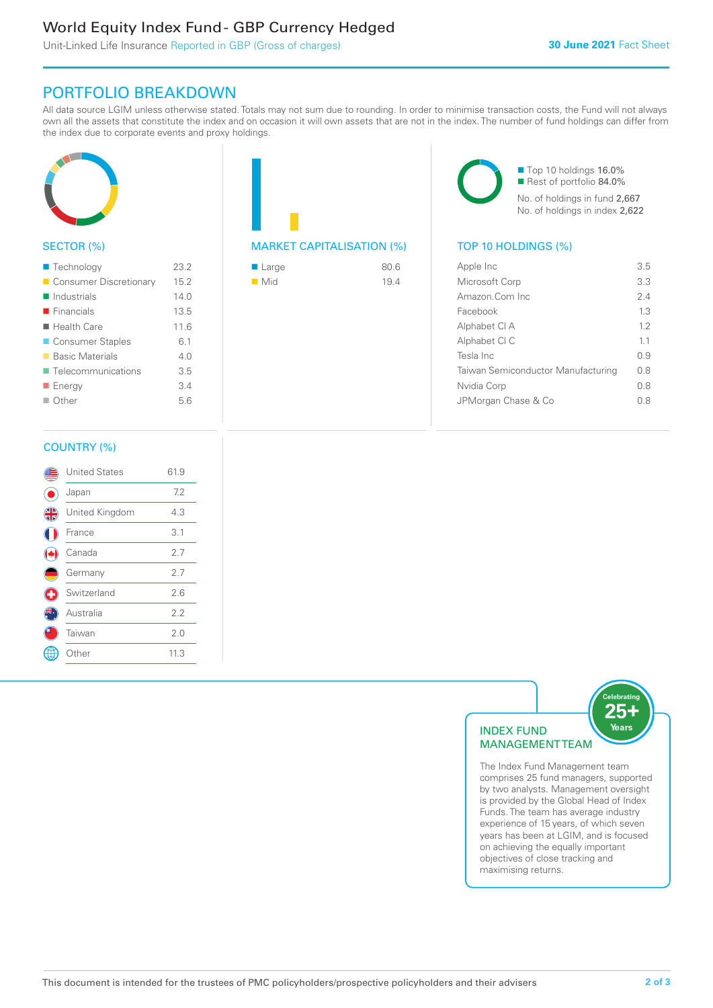# World Equity Index Fund - GBP Currency Hedged

Unit-Linked Life Insurance Reported in GBP (Gross of charges)

## PORTFOLIO BREAKDOWN

All data source LGIM unless otherwise stated. Totals may not sum due to rounding. In order to minimise transaction costs, the Fund will not always own all the assets that constitute the index and on occasion it will own assets that are not in the index. The number of fund holdings can differ from the index due to corporate events and proxy holdings.



## SECTOR (%)

| ■ Technology               | 23.2 |
|----------------------------|------|
| Consumer Discretionary     | 15.2 |
| $\blacksquare$ Industrials | 140  |
| $\blacksquare$ Financials  | 13.5 |
| $\blacksquare$ Health Care | 11.6 |
| ■ Consumer Staples         | 6.1  |
| ■ Basic Materials          | 4.0  |
| ■ Telecommunications       | 3.5  |
| <b>Energy</b>              | 3.4  |
| ■ Other                    | 5.6  |
|                            |      |

| <b>MARKET CAPITALISATION (%)</b> |  |
|----------------------------------|--|

| $\blacksquare$ Large | 80.6 |
|----------------------|------|
| $\blacksquare$ Mid   | 19.4 |

■ Top 10 holdings 16.0% Rest of portfolio 84.0% No. of holdings in fund 2,667 No. of holdings in index 2,622

## TOP 10 HOLDINGS (%)

| Apple Inc                          | 35  |
|------------------------------------|-----|
| Microsoft Corp                     | 3.3 |
| Amazon.Com Inc                     | 24  |
| Facebook                           | 13  |
| Alphabet CI A                      | 12  |
| Alphabet CI C                      | 11  |
| Tesla Inc                          | 09  |
| Taiwan Semiconductor Manufacturing | 0 S |
| Nvidia Corp                        | 0 S |
| JPMorgan Chase & Co                | 0 S |
|                                    |     |

## COUNTRY (%)

|   | <b>United States</b> | 61.9 |  |
|---|----------------------|------|--|
|   | Japan                | 7.2  |  |
| 4 | United Kingdom       | 4.3  |  |
|   | France               | 3.1  |  |
|   | Canada               | 2.7  |  |
|   | Germany              | 2.7  |  |
| ÷ | Switzerland          | 2.6  |  |
|   | Australia            | 2.2  |  |
|   | Taiwan               | 2.0  |  |
|   | Other                | 11.3 |  |
|   |                      |      |  |



The Index Fund Management team comprises 25 fund managers, supported by two analysts. Management oversight is provided by the Global Head of Index Funds. The team has average industry experience of 15 years, of which seven years has been at LGIM, and is focused on achieving the equally important objectives of close tracking and maximising returns.